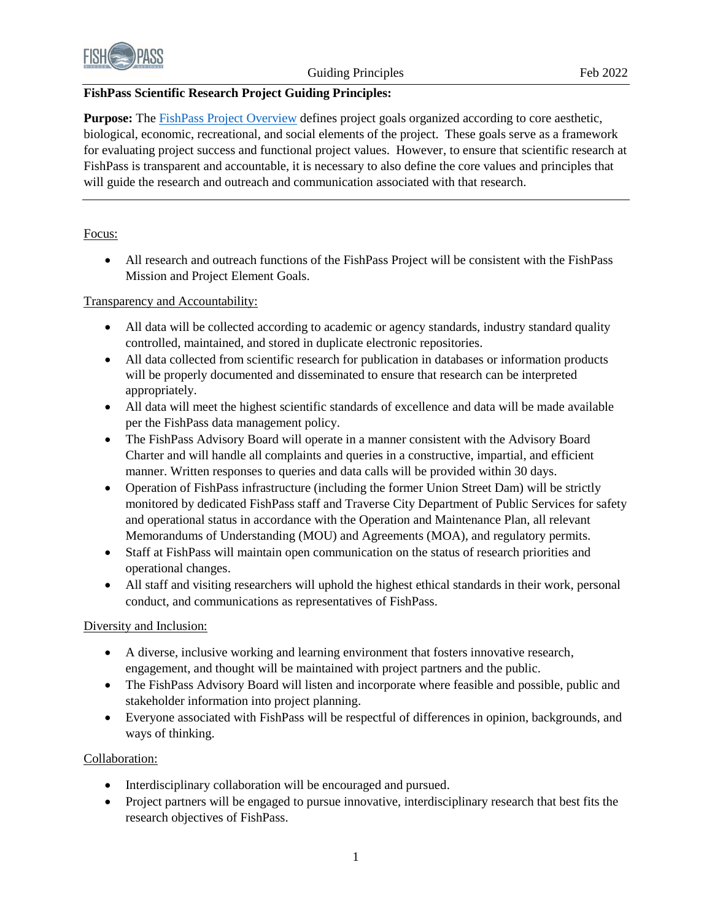

## **FishPass Scientific Research Project Guiding Principles:**

**Purpose:** The [FishPass Project Overview](http://www.glfc.org/pubs/pdfs/research/FishPass_Project_Overview_02_28_2019.pdf) defines project goals organized according to core aesthetic, biological, economic, recreational, and social elements of the project. These goals serve as a framework for evaluating project success and functional project values. However, to ensure that scientific research at FishPass is transparent and accountable, it is necessary to also define the core values and principles that will guide the research and outreach and communication associated with that research.

## Focus:

• All research and outreach functions of the FishPass Project will be consistent with the FishPass Mission and Project Element Goals.

## Transparency and Accountability:

- All data will be collected according to academic or agency standards, industry standard quality controlled, maintained, and stored in duplicate electronic repositories.
- All data collected from scientific research for publication in databases or information products will be properly documented and disseminated to ensure that research can be interpreted appropriately.
- All data will meet the highest scientific standards of excellence and data will be made available per the FishPass data management policy.
- The FishPass Advisory Board will operate in a manner consistent with the Advisory Board Charter and will handle all complaints and queries in a constructive, impartial, and efficient manner. Written responses to queries and data calls will be provided within 30 days.
- Operation of FishPass infrastructure (including the former Union Street Dam) will be strictly monitored by dedicated FishPass staff and Traverse City Department of Public Services for safety and operational status in accordance with the Operation and Maintenance Plan, all relevant Memorandums of Understanding (MOU) and Agreements (MOA), and regulatory permits.
- Staff at FishPass will maintain open communication on the status of research priorities and operational changes.
- All staff and visiting researchers will uphold the highest ethical standards in their work, personal conduct, and communications as representatives of FishPass.

#### Diversity and Inclusion:

- A diverse, inclusive working and learning environment that fosters innovative research, engagement, and thought will be maintained with project partners and the public.
- The FishPass Advisory Board will listen and incorporate where feasible and possible, public and stakeholder information into project planning.
- Everyone associated with FishPass will be respectful of differences in opinion, backgrounds, and ways of thinking.

#### Collaboration:

- Interdisciplinary collaboration will be encouraged and pursued.
- Project partners will be engaged to pursue innovative, interdisciplinary research that best fits the research objectives of FishPass.